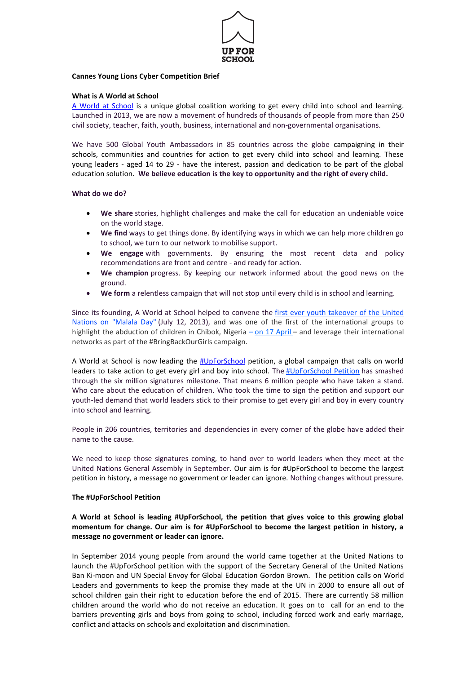

### **Cannes Young Lions Cyber Competition Brief**

## **What is A World at School**

[A World at School](file:///C:/Users/lizakoromila/AppData/Local/Microsoft/Windows/Temporary%20Internet%20Files/Content.Outlook/Q12I9HWV/aworldatschool.org) is a unique global coalition working to get every child into school and learning. Launched in 2013, we are now a movement of hundreds of thousands of people from more than 250 civil society, teacher, faith, youth, business, international and non-governmental organisations.

We have 500 Global Youth Ambassadors in 85 countries across the globe campaigning in their schools, communities and countries for action to get every child into school and learning. These young leaders - aged 14 to 29 - have the interest, passion and dedication to be part of the global education solution. **We believe education is the key to opportunity and the right of every child.**

## **What do we do?**

- **We share** stories, highlight challenges and make the call for education an undeniable voice on the world stage.
- **We find** ways to get things done. By identifying ways in which we can help more children go to school, we turn to our network to mobilise support.
- **We engage** with governments. By ensuring the most recent data and policy recommendations are front and centre - and ready for action.
- **We champion** progress. By keeping our network informed about the good news on the ground.
- **We form** a relentless campaign that will not stop until every child is in school and learning.

Since its founding, A World at School helped to convene the [first ever youth takeover of the United](https://secure.aworldatschool.org/page/content/the-text-of-malala-yousafzais-speech-at-the-united-nations/)  [Nations on "Malala](https://secure.aworldatschool.org/page/content/the-text-of-malala-yousafzais-speech-at-the-united-nations/) Day" (July 12, 2013), and was one of the first of the international groups to highlight the abduction of children in Chibok, Nigeria – [on 17 April](http://www.aworldatschool.org/news/entry/Nigeria-school-abductions-mystery-over-fate-of-most-of-missing-girls) – and leverage their international networks as part of the #BringBackOurGirls campaign.

A World at School is now leading the [#UpForSchool](http://www.upforschool.org/) petition, a global campaign that calls on world leaders to take action to get every girl and boy into school. The [#UpForSchool Petition](http://www.aworldatschool.org/upforschool) has smashed through the six million signatures milestone. That means 6 million people who have taken a stand. Who care about the education of children. Who took the time to sign the petition and support our youth-led demand that world leaders stick to their promise to get every girl and boy in every country into school and learning.

People in 206 countries, territories and dependencies in every corner of the globe have added their name to the cause.

We need to keep those signatures coming, to hand over to world leaders when they meet at the United Nations General Assembly in September. Our aim is for #UpForSchool to become the largest petition in history, a message no government or leader can ignore. Nothing changes without pressure.

### **The #UpForSchool Petition**

**A World at School is leading #UpForSchool, the petition that gives voice to this growing global momentum for change. Our aim is for #UpForSchool to become the largest petition in history, a message no government or leader can ignore.**

In September 2014 young people from around the world came together at the United Nations to launch the #UpForSchool petition with the support of the Secretary General of the United Nations Ban Ki-moon and UN Special Envoy for Global Education Gordon Brown. The petition calls on World Leaders and governments to keep the promise they made at the UN in 2000 to ensure all out of school children gain their right to education before the end of 2015. There are currently 58 million children around the world who do not receive an education. It goes on to call for an end to the barriers preventing girls and boys from going to school, including forced work and early marriage, conflict and attacks on schools and exploitation and discrimination.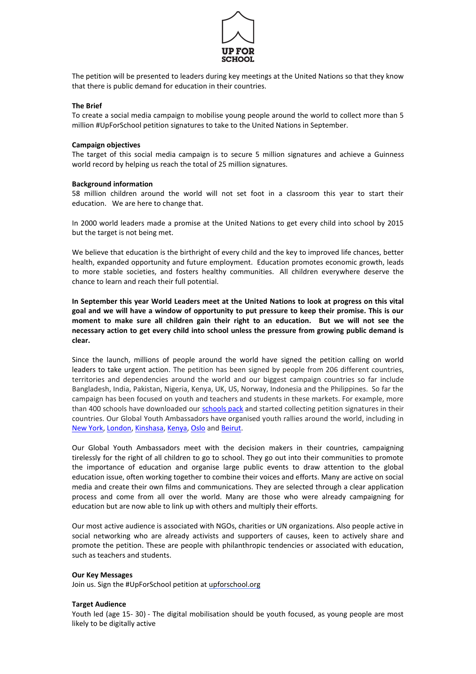

The petition will be presented to leaders during key meetings at the United Nations so that they know that there is public demand for education in their countries.

## **The Brief**

To create a social media campaign to mobilise young people around the world to collect more than 5 million #UpForSchool petition signatures to take to the United Nations in September.

### **Campaign objectives**

The target of this social media campaign is to secure 5 million signatures and achieve a Guinness world record by helping us reach the total of 25 million signatures.

### **Background information**

58 million children around the world will not set foot in a classroom this year to start their education. We are here to change that.

In 2000 world leaders made a promise at the United Nations to get every child into school by 2015 but the target is not being met.

We believe that education is the birthright of every child and the key to improved life chances, better health, expanded opportunity and future employment. Education promotes economic growth, leads to more stable societies, and fosters healthy communities. All children everywhere deserve the chance to learn and reach their full potential.

**In September this year World Leaders meet at the United Nations to look at progress on this vital goal and we will have a window of opportunity to put pressure to keep their promise. This is our moment to make sure all children gain their right to an education. But we will not see the necessary action to get every child into school unless the pressure from growing public demand is clear.**

Since the launch, millions of people around the world have signed the petition calling on world leaders to take urgent action. The petition has been signed by people from 206 different countries, territories and dependencies around the world and our biggest campaign countries so far include Bangladesh, India, Pakistan, Nigeria, Kenya, UK, US, Norway, Indonesia and the Philippines. So far the campaign has been focused on youth and teachers and students in these markets. For example, more than 400 schools have downloaded ou[r schools pack](file:///C:/Users/lizakoromila/AppData/Local/Microsoft/Windows/Temporary%20Internet%20Files/Content.Outlook/Q12I9HWV/aworldatschool.org/schools) and started collecting petition signatures in their countries. Our Global Youth Ambassadors have organised youth rallies around the world, including in [New York,](http://www.aworldatschool.org/news/entry/inspiring-stories-of-UpForSchool-youth-leaders) [London,](http://www.aworldatschool.org/news/entry/nobel-prize-winner-kailash-satyarthi-at-upforschool-london-rally-1323) [Kinshasa,](http://www.aworldatschool.org/news/entry/drc-youth-stand-upforschool-at-petition-launch-1436) [Kenya,](http://www.aworldatschool.org/news/entry/UpForSchool-campaign-launch-in-Kiberia-Kenya-1387) [Oslo](http://www.aworldatschool.org/news/entry/maiala-and-kailsah-at-nobel-childrens-party-1403) an[d Beirut.](http://www.aworldatschool.org/news/entry/lebanon-youth-leaders-are-upforschool-1985) 

Our Global Youth Ambassadors meet with the decision makers in their countries, campaigning tirelessly for the right of all children to go to school. They go out into their communities to promote the importance of education and organise large public events to draw attention to the global education issue, often working together to combine their voices and efforts. Many are active on social media and create their own films and communications. They are selected through a clear application process and come from all over the world. Many are those who were already campaigning for education but are now able to link up with others and multiply their efforts.

Our most active audience is associated with NGOs, charities or UN organizations. Also people active in social networking who are already activists and supporters of causes, keen to actively share and promote the petition. These are people with philanthropic tendencies or associated with education, such as teachers and students.

### **Our Key Messages**

Join us. Sign the #UpForSchool petition at [upforschool.org](http://upforschool.org/)

### **Target Audience**

Youth led (age 15- 30) - The digital mobilisation should be youth focused, as young people are most likely to be digitally active